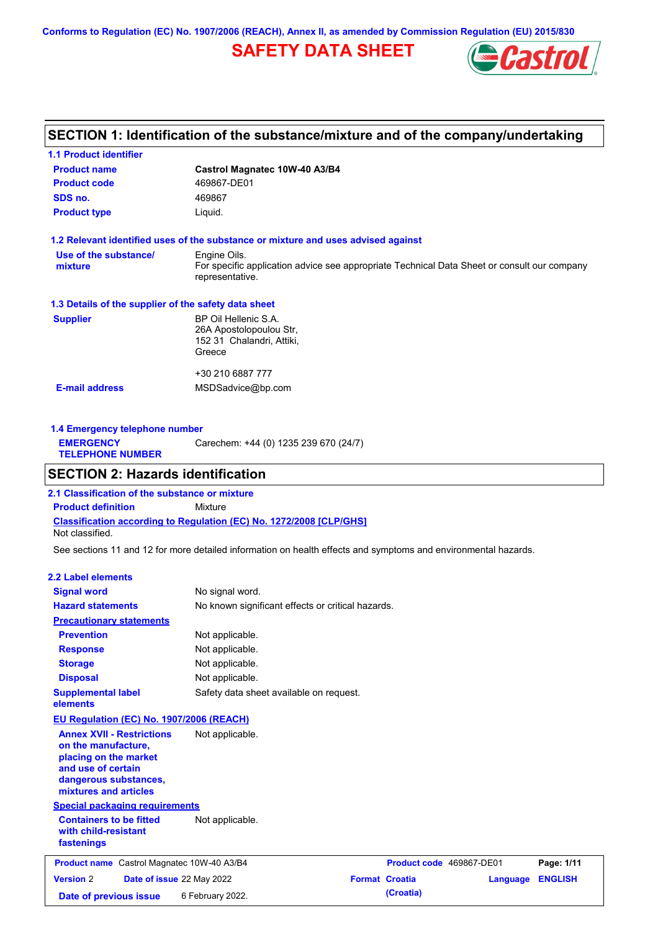**Conforms to Regulation (EC) No. 1907/2006 (REACH), Annex II, as amended by Commission Regulation (EU) 2015/830**

# **SAFETY DATA SHEET**



# **SECTION 1: Identification of the substance/mixture and of the company/undertaking**

| <b>1.1 Product identifier</b>                        |                                                                                                                |
|------------------------------------------------------|----------------------------------------------------------------------------------------------------------------|
| <b>Product name</b>                                  | Castrol Magnatec 10W-40 A3/B4                                                                                  |
| <b>Product code</b>                                  | 469867-DE01                                                                                                    |
| SDS no.                                              | 469867                                                                                                         |
| <b>Product type</b>                                  | Liquid.                                                                                                        |
|                                                      | 1.2 Relevant identified uses of the substance or mixture and uses advised against                              |
| Use of the substance/                                | Engine Oils.                                                                                                   |
| mixture                                              | For specific application advice see appropriate Technical Data Sheet or consult our company<br>representative. |
| 1.3 Details of the supplier of the safety data sheet |                                                                                                                |
| <b>Supplier</b>                                      | BP Oil Hellenic S.A.                                                                                           |
|                                                      | 26A Apostolopoulou Str.                                                                                        |
|                                                      | 152 31 Chalandri, Attiki,                                                                                      |
|                                                      | Greece                                                                                                         |
|                                                      | +30 210 6887 777                                                                                               |
| <b>E-mail address</b>                                | MSDSadvice@bp.com                                                                                              |
|                                                      |                                                                                                                |
|                                                      |                                                                                                                |

| 1.4 Emergency telephone number              |                                       |  |  |
|---------------------------------------------|---------------------------------------|--|--|
| <b>EMERGENCY</b><br><b>TELEPHONE NUMBER</b> | Carechem: +44 (0) 1235 239 670 (24/7) |  |  |
|                                             |                                       |  |  |

## **SECTION 2: Hazards identification**

**Classification according to Regulation (EC) No. 1272/2008 [CLP/GHS] 2.1 Classification of the substance or mixture Product definition** Mixture Not classified.

See sections 11 and 12 for more detailed information on health effects and symptoms and environmental hazards.

### **2.2 Label elements**

| <b>Signal word</b>                                                                                                                                       | No signal word.                                   |                       |                          |                |
|----------------------------------------------------------------------------------------------------------------------------------------------------------|---------------------------------------------------|-----------------------|--------------------------|----------------|
| <b>Hazard statements</b>                                                                                                                                 | No known significant effects or critical hazards. |                       |                          |                |
| <b>Precautionary statements</b>                                                                                                                          |                                                   |                       |                          |                |
| <b>Prevention</b>                                                                                                                                        | Not applicable.                                   |                       |                          |                |
| <b>Response</b>                                                                                                                                          | Not applicable.                                   |                       |                          |                |
| <b>Storage</b>                                                                                                                                           | Not applicable.                                   |                       |                          |                |
| <b>Disposal</b>                                                                                                                                          | Not applicable.                                   |                       |                          |                |
| <b>Supplemental label</b><br>elements                                                                                                                    | Safety data sheet available on request.           |                       |                          |                |
| EU Regulation (EC) No. 1907/2006 (REACH)                                                                                                                 |                                                   |                       |                          |                |
| <b>Annex XVII - Restrictions</b><br>on the manufacture,<br>placing on the market<br>and use of certain<br>dangerous substances,<br>mixtures and articles | Not applicable.                                   |                       |                          |                |
| <b>Special packaging requirements</b>                                                                                                                    |                                                   |                       |                          |                |
| <b>Containers to be fitted</b><br>with child-resistant<br>fastenings                                                                                     | Not applicable.                                   |                       |                          |                |
| Product name Castrol Magnatec 10W-40 A3/B4                                                                                                               |                                                   |                       | Product code 469867-DE01 | Page: 1/11     |
| <b>Version 2</b><br>Date of issue 22 May 2022                                                                                                            |                                                   | <b>Format Croatia</b> | Language                 | <b>ENGLISH</b> |
| Date of previous issue                                                                                                                                   | 6 February 2022.                                  | (Croatia)             |                          |                |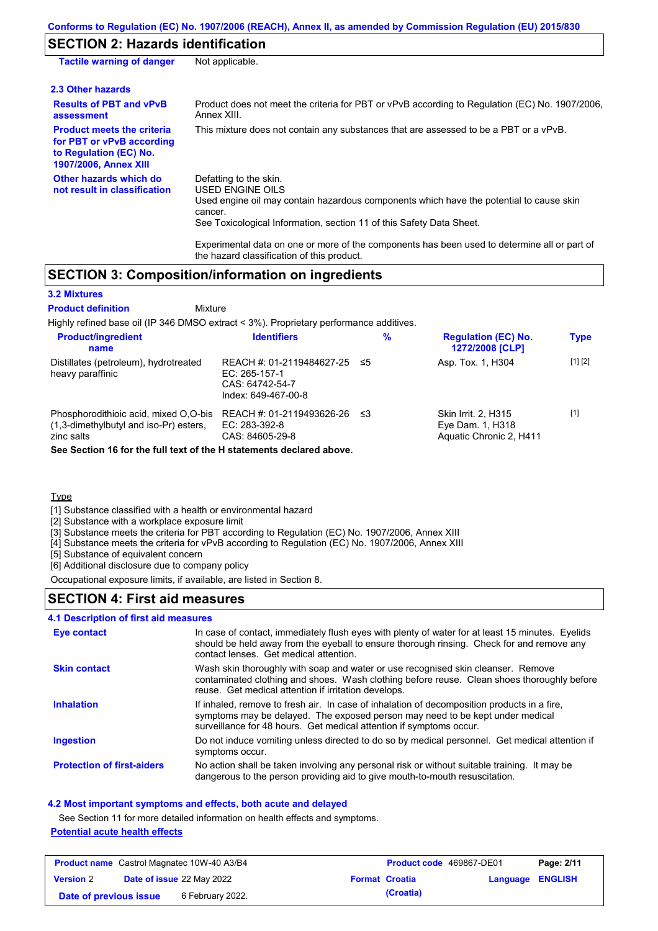# **SECTION 2: Hazards identification**

| <b>Tactile warning of danger</b>                                                                                         | Not applicable.                                                                                                                                                                                                                                                                                                                                                        |
|--------------------------------------------------------------------------------------------------------------------------|------------------------------------------------------------------------------------------------------------------------------------------------------------------------------------------------------------------------------------------------------------------------------------------------------------------------------------------------------------------------|
| 2.3 Other hazards                                                                                                        |                                                                                                                                                                                                                                                                                                                                                                        |
| <b>Results of PBT and vPvB</b><br>assessment                                                                             | Product does not meet the criteria for PBT or vPvB according to Regulation (EC) No. 1907/2006.<br>Annex XIII.                                                                                                                                                                                                                                                          |
| <b>Product meets the criteria</b><br>for PBT or vPvB according<br>to Regulation (EC) No.<br><b>1907/2006, Annex XIII</b> | This mixture does not contain any substances that are assessed to be a PBT or a vPvB.                                                                                                                                                                                                                                                                                  |
| Other hazards which do<br>not result in classification                                                                   | Defatting to the skin.<br>USED ENGINE OILS<br>Used engine oil may contain hazardous components which have the potential to cause skin<br>cancer.<br>See Toxicological Information, section 11 of this Safety Data Sheet.<br>Experimental data on one or more of the components has been used to determine all or part of<br>the hazard classification of this product. |

## **SECTION 3: Composition/information on ingredients**

Mixture

### **3.2 Mixtures**

### **Product definition**

Highly refined base oil (IP 346 DMSO extract < 3%). Proprietary performance additives.

| <b>Product/ingredient</b><br>name                                                                                                                                        | <b>Identifiers</b>                                                                   | $\%$ | <b>Regulation (EC) No.</b><br>1272/2008 [CLP]                             | <b>Type</b> |
|--------------------------------------------------------------------------------------------------------------------------------------------------------------------------|--------------------------------------------------------------------------------------|------|---------------------------------------------------------------------------|-------------|
| Distillates (petroleum), hydrotreated<br>heavy paraffinic                                                                                                                | REACH #: 01-2119484627-25<br>EC: 265-157-1<br>CAS: 64742-54-7<br>Index: 649-467-00-8 | -≤5  | Asp. Tox. 1, H304                                                         | [1] [2]     |
| Phosphorodithioic acid, mixed O,O-bis<br>$(1,3$ -dimethylbutyl and iso-Pr) esters,<br>zinc salts<br>See Section 16 for the full text of the H statements declared above. | REACH #: 01-2119493626-26<br>EC: 283-392-8<br>CAS: 84605-29-8                        | ≤3   | <b>Skin Irrit. 2. H315</b><br>Eye Dam. 1, H318<br>Aquatic Chronic 2, H411 | $[1]$       |

**Type** 

[1] Substance classified with a health or environmental hazard

[2] Substance with a workplace exposure limit

[3] Substance meets the criteria for PBT according to Regulation (EC) No. 1907/2006, Annex XIII

[4] Substance meets the criteria for vPvB according to Regulation (EC) No. 1907/2006, Annex XIII

[5] Substance of equivalent concern

[6] Additional disclosure due to company policy

Occupational exposure limits, if available, are listed in Section 8.

### **SECTION 4: First aid measures**

### **4.1 Description of first aid measures**

| <b>Eye contact</b>                | In case of contact, immediately flush eyes with plenty of water for at least 15 minutes. Eyelids<br>should be held away from the eyeball to ensure thorough rinsing. Check for and remove any<br>contact lenses. Get medical attention.             |
|-----------------------------------|-----------------------------------------------------------------------------------------------------------------------------------------------------------------------------------------------------------------------------------------------------|
| <b>Skin contact</b>               | Wash skin thoroughly with soap and water or use recognised skin cleanser. Remove<br>contaminated clothing and shoes. Wash clothing before reuse. Clean shoes thoroughly before<br>reuse. Get medical attention if irritation develops.              |
| <b>Inhalation</b>                 | If inhaled, remove to fresh air. In case of inhalation of decomposition products in a fire,<br>symptoms may be delayed. The exposed person may need to be kept under medical<br>surveillance for 48 hours. Get medical attention if symptoms occur. |
| <b>Ingestion</b>                  | Do not induce vomiting unless directed to do so by medical personnel. Get medical attention if<br>symptoms occur.                                                                                                                                   |
| <b>Protection of first-aiders</b> | No action shall be taken involving any personal risk or without suitable training. It may be<br>dangerous to the person providing aid to give mouth-to-mouth resuscitation.                                                                         |

### **4.2 Most important symptoms and effects, both acute and delayed**

See Section 11 for more detailed information on health effects and symptoms.

### **Potential acute health effects**

| <b>Product name</b> Castrol Magnatec 10W-40 A3/B4 |  | Product code 469867-DE01         |  | Page: 2/11            |                  |  |
|---------------------------------------------------|--|----------------------------------|--|-----------------------|------------------|--|
| <b>Version 2</b>                                  |  | <b>Date of issue 22 May 2022</b> |  | <b>Format Croatia</b> | Language ENGLISH |  |
| Date of previous issue                            |  | 6 February 2022.                 |  | (Croatia)             |                  |  |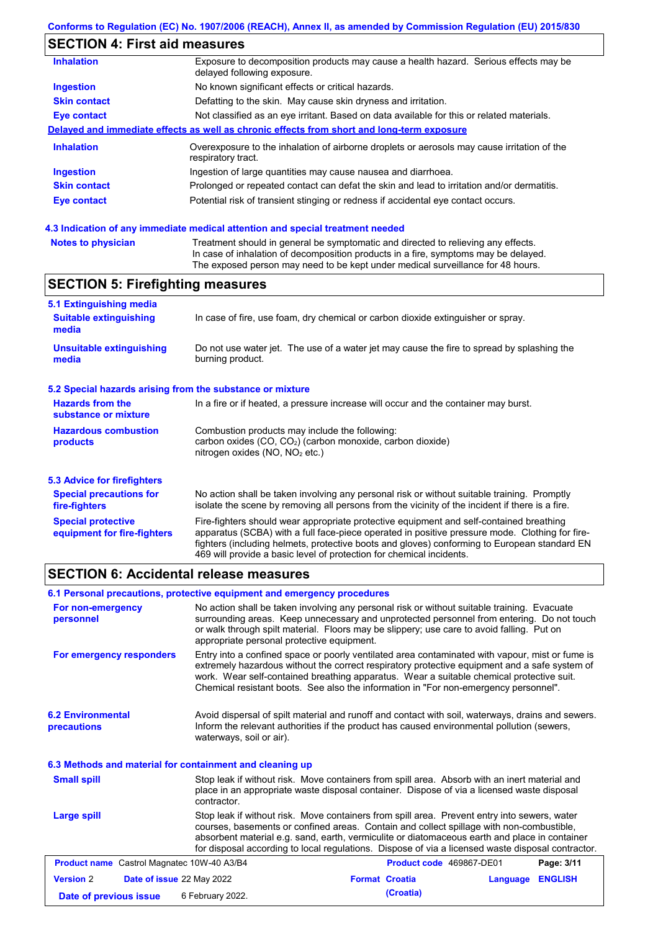# **SECTION 4: First aid measures**

| <b>Inhalation</b>   | Exposure to decomposition products may cause a health hazard. Serious effects may be<br>delayed following exposure. |
|---------------------|---------------------------------------------------------------------------------------------------------------------|
| <b>Ingestion</b>    | No known significant effects or critical hazards.                                                                   |
| <b>Skin contact</b> | Defatting to the skin. May cause skin dryness and irritation.                                                       |
| <b>Eye contact</b>  | Not classified as an eye irritant. Based on data available for this or related materials.                           |
|                     | Delayed and immediate effects as well as chronic effects from short and long-term exposure                          |
| <b>Inhalation</b>   | Overexposure to the inhalation of airborne droplets or aerosols may cause irritation of the<br>respiratory tract.   |
| <b>Ingestion</b>    | Ingestion of large quantities may cause nausea and diarrhoea.                                                       |
| <b>Skin contact</b> | Prolonged or repeated contact can defat the skin and lead to irritation and/or dermatitis.                          |
| Eye contact         | Potential risk of transient stinging or redness if accidental eye contact occurs.                                   |
|                     |                                                                                                                     |

### **4.3 Indication of any immediate medical attention and special treatment needed**

| <b>Notes to physician</b> | Treatment should in general be symptomatic and directed to relieving any effects.   |
|---------------------------|-------------------------------------------------------------------------------------|
|                           | In case of inhalation of decomposition products in a fire, symptoms may be delayed. |
|                           | The exposed person may need to be kept under medical surveillance for 48 hours.     |

# **SECTION 5: Firefighting measures**

| 5.1 Extinguishing media                                                                                                                                                                          |                                                                                                                                                                                                                                                                                                                                                                   |  |
|--------------------------------------------------------------------------------------------------------------------------------------------------------------------------------------------------|-------------------------------------------------------------------------------------------------------------------------------------------------------------------------------------------------------------------------------------------------------------------------------------------------------------------------------------------------------------------|--|
| <b>Suitable extinguishing</b><br>media                                                                                                                                                           | In case of fire, use foam, dry chemical or carbon dioxide extinguisher or spray.                                                                                                                                                                                                                                                                                  |  |
| <b>Unsuitable extinguishing</b><br>Do not use water jet. The use of a water jet may cause the fire to spread by splashing the<br>burning product.<br>media                                       |                                                                                                                                                                                                                                                                                                                                                                   |  |
| 5.2 Special hazards arising from the substance or mixture                                                                                                                                        |                                                                                                                                                                                                                                                                                                                                                                   |  |
| <b>Hazards from the</b><br>substance or mixture                                                                                                                                                  | In a fire or if heated, a pressure increase will occur and the container may burst.                                                                                                                                                                                                                                                                               |  |
| Combustion products may include the following:<br><b>Hazardous combustion</b><br>carbon oxides $(CO, CO2)$ (carbon monoxide, carbon dioxide)<br>products<br>nitrogen oxides ( $NO$ , $NO2$ etc.) |                                                                                                                                                                                                                                                                                                                                                                   |  |
| 5.3 Advice for firefighters                                                                                                                                                                      |                                                                                                                                                                                                                                                                                                                                                                   |  |
| <b>Special precautions for</b><br>fire-fighters                                                                                                                                                  | No action shall be taken involving any personal risk or without suitable training. Promptly<br>isolate the scene by removing all persons from the vicinity of the incident if there is a fire.                                                                                                                                                                    |  |
| <b>Special protective</b><br>equipment for fire-fighters                                                                                                                                         | Fire-fighters should wear appropriate protective equipment and self-contained breathing<br>apparatus (SCBA) with a full face-piece operated in positive pressure mode. Clothing for fire-<br>fighters (including helmets, protective boots and gloves) conforming to European standard EN<br>469 will provide a basic level of protection for chemical incidents. |  |

## **SECTION 6: Accidental release measures**

|                                                          | 6.1 Personal precautions, protective equipment and emergency procedures                                                                                                                                                                                                                                                                                                                        |                          |          |                |
|----------------------------------------------------------|------------------------------------------------------------------------------------------------------------------------------------------------------------------------------------------------------------------------------------------------------------------------------------------------------------------------------------------------------------------------------------------------|--------------------------|----------|----------------|
| For non-emergency<br>personnel                           | No action shall be taken involving any personal risk or without suitable training. Evacuate<br>surrounding areas. Keep unnecessary and unprotected personnel from entering. Do not touch<br>or walk through spilt material. Floors may be slippery; use care to avoid falling. Put on<br>appropriate personal protective equipment.                                                            |                          |          |                |
| For emergency responders                                 | Entry into a confined space or poorly ventilated area contaminated with vapour, mist or fume is<br>extremely hazardous without the correct respiratory protective equipment and a safe system of<br>work. Wear self-contained breathing apparatus. Wear a suitable chemical protective suit.<br>Chemical resistant boots. See also the information in "For non-emergency personnel".           |                          |          |                |
| <b>6.2 Environmental</b><br><b>precautions</b>           | Avoid dispersal of spilt material and runoff and contact with soil, waterways, drains and sewers.<br>Inform the relevant authorities if the product has caused environmental pollution (sewers,<br>waterways, soil or air).                                                                                                                                                                    |                          |          |                |
| 6.3 Methods and material for containment and cleaning up |                                                                                                                                                                                                                                                                                                                                                                                                |                          |          |                |
| <b>Small spill</b>                                       | Stop leak if without risk. Move containers from spill area. Absorb with an inert material and<br>place in an appropriate waste disposal container. Dispose of via a licensed waste disposal<br>contractor.                                                                                                                                                                                     |                          |          |                |
| Large spill                                              | Stop leak if without risk. Move containers from spill area. Prevent entry into sewers, water<br>courses, basements or confined areas. Contain and collect spillage with non-combustible,<br>absorbent material e.g. sand, earth, vermiculite or diatomaceous earth and place in container<br>for disposal according to local regulations. Dispose of via a licensed waste disposal contractor. |                          |          |                |
| <b>Product name</b> Castrol Magnatec 10W-40 A3/B4        |                                                                                                                                                                                                                                                                                                                                                                                                | Product code 469867-DE01 |          | Page: 3/11     |
| <b>Version 2</b><br>Date of issue 22 May 2022            |                                                                                                                                                                                                                                                                                                                                                                                                | <b>Format Croatia</b>    | Language | <b>ENGLISH</b> |
|                                                          |                                                                                                                                                                                                                                                                                                                                                                                                |                          |          |                |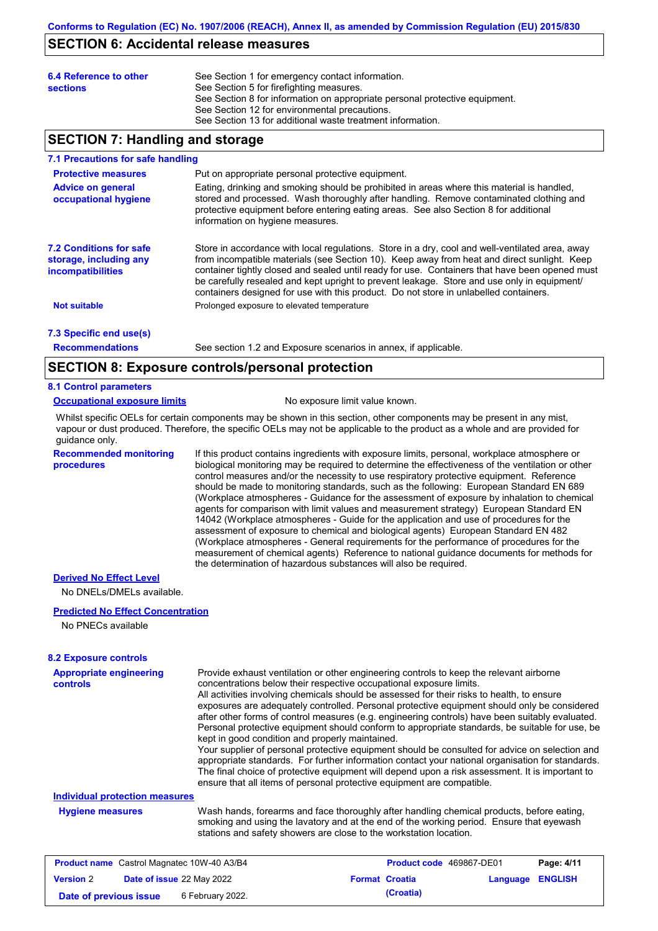## **SECTION 6: Accidental release measures**

| 6.4 Reference to other<br><b>sections</b> | See Section 1 for emergency contact information.<br>See Section 5 for firefighting measures.<br>See Section 8 for information on appropriate personal protective equipment.<br>See Section 12 for environmental precautions.<br>See Section 13 for additional waste treatment information. |
|-------------------------------------------|--------------------------------------------------------------------------------------------------------------------------------------------------------------------------------------------------------------------------------------------------------------------------------------------|
|-------------------------------------------|--------------------------------------------------------------------------------------------------------------------------------------------------------------------------------------------------------------------------------------------------------------------------------------------|

## **SECTION 7: Handling and storage**

### **7.1 Precautions for safe handling**

| <b>Protective measures</b><br><b>Advice on general</b><br>occupational hygiene       | Put on appropriate personal protective equipment.<br>Eating, drinking and smoking should be prohibited in areas where this material is handled,<br>stored and processed. Wash thoroughly after handling. Remove contaminated clothing and<br>protective equipment before entering eating areas. See also Section 8 for additional<br>information on hygiene measures.                                                                                                                    |
|--------------------------------------------------------------------------------------|------------------------------------------------------------------------------------------------------------------------------------------------------------------------------------------------------------------------------------------------------------------------------------------------------------------------------------------------------------------------------------------------------------------------------------------------------------------------------------------|
| <b>7.2 Conditions for safe</b><br>storage, including any<br><i>incompatibilities</i> | Store in accordance with local requlations. Store in a dry, cool and well-ventilated area, away<br>from incompatible materials (see Section 10). Keep away from heat and direct sunlight. Keep<br>container tightly closed and sealed until ready for use. Containers that have been opened must<br>be carefully resealed and kept upright to prevent leakage. Store and use only in equipment/<br>containers designed for use with this product. Do not store in unlabelled containers. |
| <b>Not suitable</b>                                                                  | Prolonged exposure to elevated temperature                                                                                                                                                                                                                                                                                                                                                                                                                                               |
| 7.3 Specific end use(s)                                                              |                                                                                                                                                                                                                                                                                                                                                                                                                                                                                          |

**Recommendations**

See section 1.2 and Exposure scenarios in annex, if applicable.

## **SECTION 8: Exposure controls/personal protection**

### **8.1 Control parameters**

### **Occupational exposure limits** No exposure limit value known.

Whilst specific OELs for certain components may be shown in this section, other components may be present in any mist, vapour or dust produced. Therefore, the specific OELs may not be applicable to the product as a whole and are provided for guidance only.

**Recommended monitoring procedures**

If this product contains ingredients with exposure limits, personal, workplace atmosphere or biological monitoring may be required to determine the effectiveness of the ventilation or other control measures and/or the necessity to use respiratory protective equipment. Reference should be made to monitoring standards, such as the following: European Standard EN 689 (Workplace atmospheres - Guidance for the assessment of exposure by inhalation to chemical agents for comparison with limit values and measurement strategy) European Standard EN 14042 (Workplace atmospheres - Guide for the application and use of procedures for the assessment of exposure to chemical and biological agents) European Standard EN 482 (Workplace atmospheres - General requirements for the performance of procedures for the measurement of chemical agents) Reference to national guidance documents for methods for the determination of hazardous substances will also be required.

### **Derived No Effect Level**

No DNELs/DMELs available.

### **Predicted No Effect Concentration**

No PNECs available

### **8.2 Exposure controls**

| <b>Appropriate engineering</b><br>controls | Provide exhaust ventilation or other engineering controls to keep the relevant airborne<br>concentrations below their respective occupational exposure limits.<br>All activities involving chemicals should be assessed for their risks to health, to ensure<br>exposures are adequately controlled. Personal protective equipment should only be considered<br>after other forms of control measures (e.g. engineering controls) have been suitably evaluated.<br>Personal protective equipment should conform to appropriate standards, be suitable for use, be<br>kept in good condition and properly maintained.<br>Your supplier of personal protective equipment should be consulted for advice on selection and<br>appropriate standards. For further information contact your national organisation for standards.<br>The final choice of protective equipment will depend upon a risk assessment. It is important to<br>ensure that all items of personal protective equipment are compatible. |
|--------------------------------------------|---------------------------------------------------------------------------------------------------------------------------------------------------------------------------------------------------------------------------------------------------------------------------------------------------------------------------------------------------------------------------------------------------------------------------------------------------------------------------------------------------------------------------------------------------------------------------------------------------------------------------------------------------------------------------------------------------------------------------------------------------------------------------------------------------------------------------------------------------------------------------------------------------------------------------------------------------------------------------------------------------------|
| <b>Individual protection measures</b>      |                                                                                                                                                                                                                                                                                                                                                                                                                                                                                                                                                                                                                                                                                                                                                                                                                                                                                                                                                                                                         |
| <b>Hygiene measures</b>                    | Wash hands, forearms and face thoroughly after handling chemical products, before eating,<br>smoking and using the lavatory and at the end of the working period. Ensure that eyewash<br>stations and safety showers are close to the workstation location.                                                                                                                                                                                                                                                                                                                                                                                                                                                                                                                                                                                                                                                                                                                                             |
| $D_{\text{total}}$                         | <b>Benedict 4144</b>                                                                                                                                                                                                                                                                                                                                                                                                                                                                                                                                                                                                                                                                                                                                                                                                                                                                                                                                                                                    |

| <b>Product name</b> Castrol Magnatec 10W-40 A3/B4 |  | <b>Product code</b> 469867-DE01 |  | Page: 4/11            |                         |  |
|---------------------------------------------------|--|---------------------------------|--|-----------------------|-------------------------|--|
| <b>Version 2</b>                                  |  | Date of issue 22 May 2022       |  | <b>Format Croatia</b> | <b>Language ENGLISH</b> |  |
| Date of previous issue                            |  | 6 February 2022.                |  | (Croatia)             |                         |  |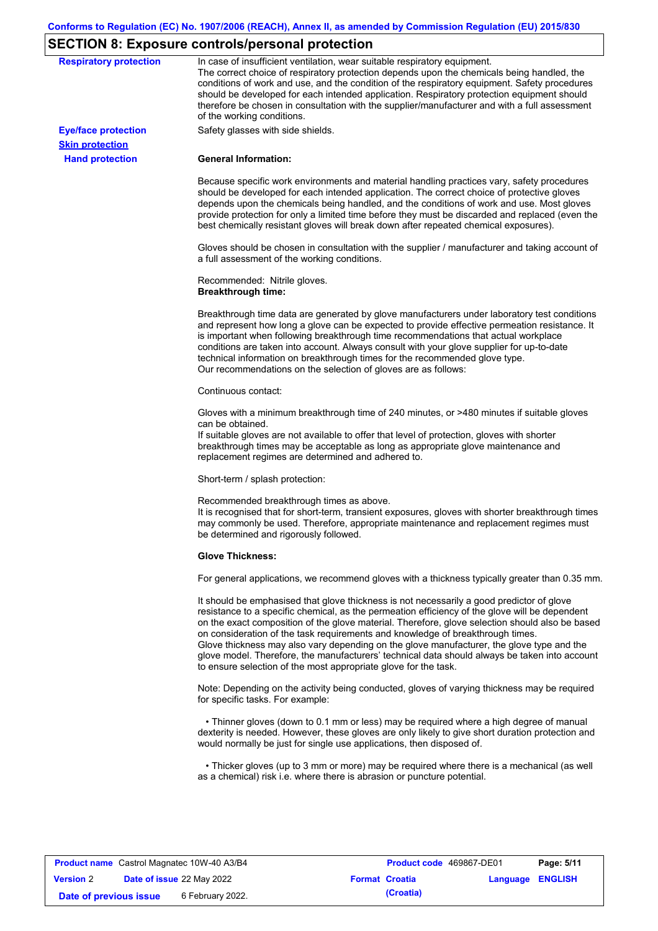# **SECTION 8: Exposure controls/personal protection**

| <b>Respiratory protection</b> | In case of insufficient ventilation, wear suitable respiratory equipment.<br>The correct choice of respiratory protection depends upon the chemicals being handled, the<br>conditions of work and use, and the condition of the respiratory equipment. Safety procedures<br>should be developed for each intended application. Respiratory protection equipment should<br>therefore be chosen in consultation with the supplier/manufacturer and with a full assessment<br>of the working conditions.                                                                                                                                             |
|-------------------------------|---------------------------------------------------------------------------------------------------------------------------------------------------------------------------------------------------------------------------------------------------------------------------------------------------------------------------------------------------------------------------------------------------------------------------------------------------------------------------------------------------------------------------------------------------------------------------------------------------------------------------------------------------|
| <b>Eye/face protection</b>    | Safety glasses with side shields.                                                                                                                                                                                                                                                                                                                                                                                                                                                                                                                                                                                                                 |
| <b>Skin protection</b>        |                                                                                                                                                                                                                                                                                                                                                                                                                                                                                                                                                                                                                                                   |
| <b>Hand protection</b>        | <b>General Information:</b>                                                                                                                                                                                                                                                                                                                                                                                                                                                                                                                                                                                                                       |
|                               | Because specific work environments and material handling practices vary, safety procedures<br>should be developed for each intended application. The correct choice of protective gloves<br>depends upon the chemicals being handled, and the conditions of work and use. Most gloves<br>provide protection for only a limited time before they must be discarded and replaced (even the<br>best chemically resistant gloves will break down after repeated chemical exposures).                                                                                                                                                                  |
|                               | Gloves should be chosen in consultation with the supplier / manufacturer and taking account of<br>a full assessment of the working conditions.                                                                                                                                                                                                                                                                                                                                                                                                                                                                                                    |
|                               | Recommended: Nitrile gloves.<br><b>Breakthrough time:</b>                                                                                                                                                                                                                                                                                                                                                                                                                                                                                                                                                                                         |
|                               | Breakthrough time data are generated by glove manufacturers under laboratory test conditions<br>and represent how long a glove can be expected to provide effective permeation resistance. It<br>is important when following breakthrough time recommendations that actual workplace<br>conditions are taken into account. Always consult with your glove supplier for up-to-date<br>technical information on breakthrough times for the recommended glove type.<br>Our recommendations on the selection of gloves are as follows:                                                                                                                |
|                               | Continuous contact:                                                                                                                                                                                                                                                                                                                                                                                                                                                                                                                                                                                                                               |
|                               | Gloves with a minimum breakthrough time of 240 minutes, or >480 minutes if suitable gloves<br>can be obtained.<br>If suitable gloves are not available to offer that level of protection, gloves with shorter<br>breakthrough times may be acceptable as long as appropriate glove maintenance and<br>replacement regimes are determined and adhered to.                                                                                                                                                                                                                                                                                          |
|                               | Short-term / splash protection:                                                                                                                                                                                                                                                                                                                                                                                                                                                                                                                                                                                                                   |
|                               | Recommended breakthrough times as above.<br>It is recognised that for short-term, transient exposures, gloves with shorter breakthrough times<br>may commonly be used. Therefore, appropriate maintenance and replacement regimes must<br>be determined and rigorously followed.                                                                                                                                                                                                                                                                                                                                                                  |
|                               | <b>Glove Thickness:</b>                                                                                                                                                                                                                                                                                                                                                                                                                                                                                                                                                                                                                           |
|                               | For general applications, we recommend gloves with a thickness typically greater than 0.35 mm.                                                                                                                                                                                                                                                                                                                                                                                                                                                                                                                                                    |
|                               | It should be emphasised that glove thickness is not necessarily a good predictor of glove<br>resistance to a specific chemical, as the permeation efficiency of the glove will be dependent<br>on the exact composition of the glove material. Therefore, glove selection should also be based<br>on consideration of the task requirements and knowledge of breakthrough times.<br>Glove thickness may also vary depending on the glove manufacturer, the glove type and the<br>glove model. Therefore, the manufacturers' technical data should always be taken into account<br>to ensure selection of the most appropriate glove for the task. |
|                               | Note: Depending on the activity being conducted, gloves of varying thickness may be required<br>for specific tasks. For example:                                                                                                                                                                                                                                                                                                                                                                                                                                                                                                                  |
|                               | • Thinner gloves (down to 0.1 mm or less) may be required where a high degree of manual<br>dexterity is needed. However, these gloves are only likely to give short duration protection and<br>would normally be just for single use applications, then disposed of.                                                                                                                                                                                                                                                                                                                                                                              |
|                               | • Thicker gloves (up to 3 mm or more) may be required where there is a mechanical (as well<br>as a chemical) risk i.e. where there is abrasion or puncture potential.                                                                                                                                                                                                                                                                                                                                                                                                                                                                             |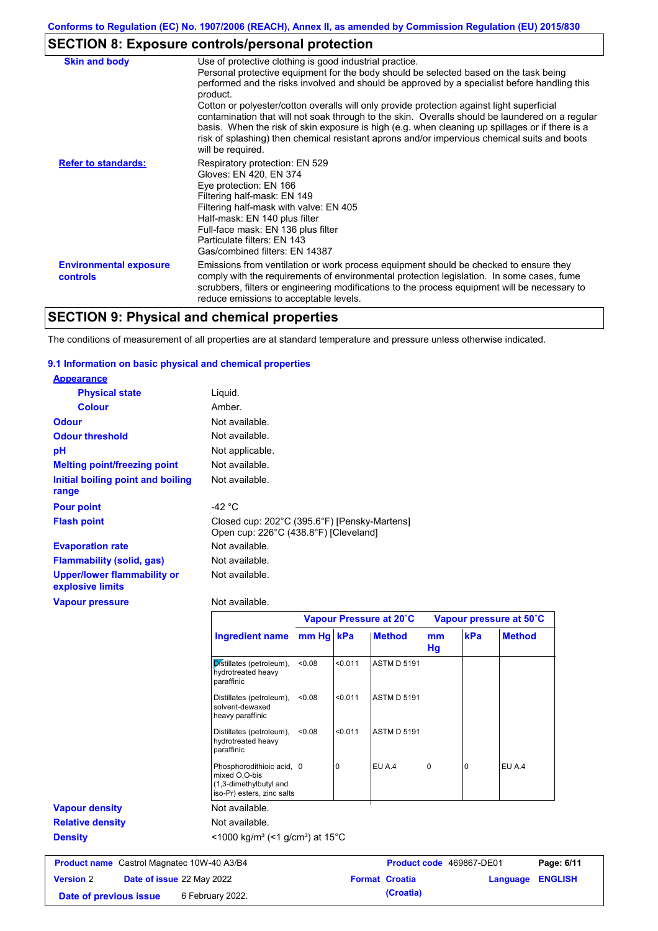# **SECTION 8: Exposure controls/personal protection**

| <b>Skin and body</b>                             | Use of protective clothing is good industrial practice.                                                                                                                                                                                                                                                                       |
|--------------------------------------------------|-------------------------------------------------------------------------------------------------------------------------------------------------------------------------------------------------------------------------------------------------------------------------------------------------------------------------------|
|                                                  | Personal protective equipment for the body should be selected based on the task being                                                                                                                                                                                                                                         |
|                                                  | performed and the risks involved and should be approved by a specialist before handling this<br>product.                                                                                                                                                                                                                      |
|                                                  | Cotton or polyester/cotton overalls will only provide protection against light superficial                                                                                                                                                                                                                                    |
|                                                  | contamination that will not soak through to the skin. Overalls should be laundered on a regular<br>basis. When the risk of skin exposure is high (e.g. when cleaning up spillages or if there is a<br>risk of splashing) then chemical resistant aprons and/or impervious chemical suits and boots<br>will be required.       |
| <b>Refer to standards:</b>                       | Respiratory protection: EN 529                                                                                                                                                                                                                                                                                                |
|                                                  | Gloves: EN 420, EN 374                                                                                                                                                                                                                                                                                                        |
|                                                  | Eye protection: EN 166                                                                                                                                                                                                                                                                                                        |
|                                                  | Filtering half-mask: EN 149                                                                                                                                                                                                                                                                                                   |
|                                                  | Filtering half-mask with valve: EN 405                                                                                                                                                                                                                                                                                        |
|                                                  | Half-mask: EN 140 plus filter<br>Full-face mask: EN 136 plus filter                                                                                                                                                                                                                                                           |
|                                                  | Particulate filters: EN 143                                                                                                                                                                                                                                                                                                   |
|                                                  | Gas/combined filters: EN 14387                                                                                                                                                                                                                                                                                                |
| <b>Environmental exposure</b><br><b>controls</b> | Emissions from ventilation or work process equipment should be checked to ensure they<br>comply with the requirements of environmental protection legislation. In some cases, fume<br>scrubbers, filters or engineering modifications to the process equipment will be necessary to<br>reduce emissions to acceptable levels. |

# **SECTION 9: Physical and chemical properties**

The conditions of measurement of all properties are at standard temperature and pressure unless otherwise indicated.

### **9.1 Information on basic physical and chemical properties**

| <b>Appearance</b>                                      |                                                                                                    |           |             |                         |                      |     |                         |
|--------------------------------------------------------|----------------------------------------------------------------------------------------------------|-----------|-------------|-------------------------|----------------------|-----|-------------------------|
| <b>Physical state</b>                                  | Liquid.                                                                                            |           |             |                         |                      |     |                         |
| <b>Colour</b>                                          | Amber.                                                                                             |           |             |                         |                      |     |                         |
| <b>Odour</b>                                           | Not available.                                                                                     |           |             |                         |                      |     |                         |
| <b>Odour threshold</b>                                 | Not available.                                                                                     |           |             |                         |                      |     |                         |
| pH                                                     | Not applicable.                                                                                    |           |             |                         |                      |     |                         |
| <b>Melting point/freezing point</b>                    | Not available.                                                                                     |           |             |                         |                      |     |                         |
| Initial boiling point and boiling<br>range             | Not available.                                                                                     |           |             |                         |                      |     |                         |
| <b>Pour point</b>                                      | $-42 °C$                                                                                           |           |             |                         |                      |     |                         |
| <b>Flash point</b>                                     | Closed cup: 202°C (395.6°F) [Pensky-Martens]<br>Open cup: 226°C (438.8°F) [Cleveland]              |           |             |                         |                      |     |                         |
| <b>Evaporation rate</b>                                | Not available.                                                                                     |           |             |                         |                      |     |                         |
| <b>Flammability (solid, gas)</b>                       | Not available.                                                                                     |           |             |                         |                      |     |                         |
| <b>Upper/lower flammability or</b><br>explosive limits | Not available.                                                                                     |           |             |                         |                      |     |                         |
| <b>Vapour pressure</b>                                 | Not available.                                                                                     |           |             |                         |                      |     |                         |
|                                                        |                                                                                                    |           |             | Vapour Pressure at 20°C |                      |     | Vapour pressure at 50°C |
|                                                        | <b>Ingredient name</b>                                                                             | mm Hg kPa |             | <b>Method</b>           | m <sub>m</sub><br>Hg | kPa | <b>Method</b>           |
|                                                        | Distillates (petroleum),<br>hydrotreated heavy<br>paraffinic                                       | < 0.08    | < 0.011     | <b>ASTM D 5191</b>      |                      |     |                         |
|                                                        | Distillates (petroleum),<br>solvent-dewaxed<br>heavy paraffinic                                    | < 0.08    | < 0.011     | <b>ASTM D 5191</b>      |                      |     |                         |
|                                                        | Distillates (petroleum),<br>hydrotreated heavy<br>paraffinic                                       | < 0.08    | < 0.011     | <b>ASTM D 5191</b>      |                      |     |                         |
|                                                        | Phosphorodithioic acid, 0<br>mixed O,O-bis<br>(1,3-dimethylbutyl and<br>iso-Pr) esters, zinc salts |           | $\mathbf 0$ | EU A.4                  | $\mathbf 0$          | 0   | EU A.4                  |
| <b>Vapour density</b>                                  | Not available.                                                                                     |           |             |                         |                      |     |                         |
| <b>Relative density</b>                                | Not available.                                                                                     |           |             |                         |                      |     |                         |

| ivul avaliault.                                    |  |  |  |
|----------------------------------------------------|--|--|--|
| $21000$ kalm <sup>3</sup> ( $21$ alom <sup>3</sup> |  |  |  |

**Density** <1000 kg/m<sup>3</sup> (<1 g/cm<sup>3</sup>) at 15°C

| <b>Product name</b> Castrol Magnatec 10W-40 A3/B4 |  | <b>Product code</b> 469867-DE01  |  | Page: 6/11            |                         |  |
|---------------------------------------------------|--|----------------------------------|--|-----------------------|-------------------------|--|
| <b>Version 2</b>                                  |  | <b>Date of issue 22 May 2022</b> |  | <b>Format Croatia</b> | <b>Language ENGLISH</b> |  |
| Date of previous issue                            |  | 6 February 2022.                 |  | (Croatia)             |                         |  |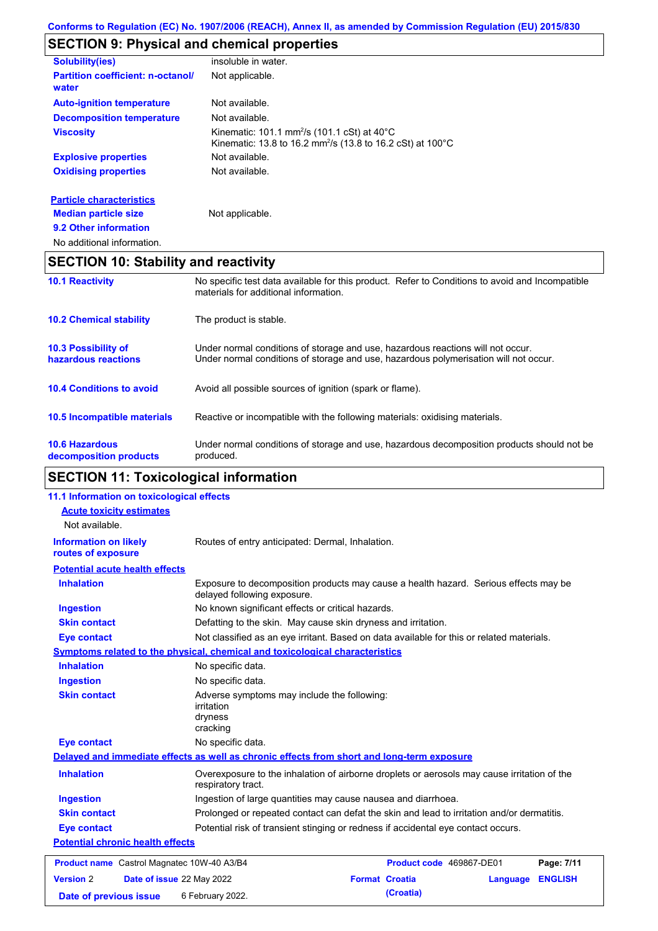# **SECTION 9: Physical and chemical properties**

| <b>Solubility(ies)</b>                               | insoluble in water.                                                                                                                           |
|------------------------------------------------------|-----------------------------------------------------------------------------------------------------------------------------------------------|
| <b>Partition coefficient: n-octanol/</b><br>water    | Not applicable.                                                                                                                               |
| <b>Auto-ignition temperature</b>                     | Not available.                                                                                                                                |
| <b>Decomposition temperature</b>                     | Not available.                                                                                                                                |
| <b>Viscosity</b>                                     | Kinematic: 101.1 mm <sup>2</sup> /s (101.1 cSt) at 40 $^{\circ}$ C<br>Kinematic: 13.8 to 16.2 mm <sup>2</sup> /s (13.8 to 16.2 cSt) at 100 °C |
| <b>Explosive properties</b>                          | Not available.                                                                                                                                |
| <b>Oxidising properties</b>                          | Not available.                                                                                                                                |
| <b>Particle characteristics</b>                      |                                                                                                                                               |
| <b>Median particle size</b><br>9.2 Other information | Not applicable.                                                                                                                               |
|                                                      |                                                                                                                                               |

No additional information.

# **SECTION 10: Stability and reactivity**

| <b>10.1 Reactivity</b>                            | No specific test data available for this product. Refer to Conditions to avoid and Incompatible<br>materials for additional information.                                |  |
|---------------------------------------------------|-------------------------------------------------------------------------------------------------------------------------------------------------------------------------|--|
| <b>10.2 Chemical stability</b>                    | The product is stable.                                                                                                                                                  |  |
| <b>10.3 Possibility of</b><br>hazardous reactions | Under normal conditions of storage and use, hazardous reactions will not occur.<br>Under normal conditions of storage and use, hazardous polymerisation will not occur. |  |
| <b>10.4 Conditions to avoid</b>                   | Avoid all possible sources of ignition (spark or flame).                                                                                                                |  |
| <b>10.5 Incompatible materials</b>                | Reactive or incompatible with the following materials: oxidising materials.                                                                                             |  |
| <b>10.6 Hazardous</b><br>decomposition products   | Under normal conditions of storage and use, hazardous decomposition products should not be<br>produced.                                                                 |  |

# **SECTION 11: Toxicological information**

| 11.1 Information on toxicological effects          |                                                                                                                     |                                                               |                |  |
|----------------------------------------------------|---------------------------------------------------------------------------------------------------------------------|---------------------------------------------------------------|----------------|--|
| <b>Acute toxicity estimates</b>                    |                                                                                                                     |                                                               |                |  |
| Not available.                                     |                                                                                                                     |                                                               |                |  |
| <b>Information on likely</b><br>routes of exposure | Routes of entry anticipated: Dermal, Inhalation.                                                                    |                                                               |                |  |
| <b>Potential acute health effects</b>              |                                                                                                                     |                                                               |                |  |
| <b>Inhalation</b>                                  | Exposure to decomposition products may cause a health hazard. Serious effects may be<br>delayed following exposure. |                                                               |                |  |
| <b>Ingestion</b>                                   | No known significant effects or critical hazards.                                                                   |                                                               |                |  |
| <b>Skin contact</b>                                | Defatting to the skin. May cause skin dryness and irritation.                                                       |                                                               |                |  |
| <b>Eye contact</b>                                 | Not classified as an eye irritant. Based on data available for this or related materials.                           |                                                               |                |  |
|                                                    | Symptoms related to the physical, chemical and toxicological characteristics                                        |                                                               |                |  |
| <b>Inhalation</b>                                  | No specific data.                                                                                                   |                                                               |                |  |
| <b>Ingestion</b>                                   | No specific data.                                                                                                   |                                                               |                |  |
| <b>Skin contact</b>                                | Adverse symptoms may include the following:<br><i>irritation</i><br>dryness<br>cracking                             |                                                               |                |  |
| <b>Eye contact</b>                                 | No specific data.                                                                                                   |                                                               |                |  |
|                                                    | Delayed and immediate effects as well as chronic effects from short and long-term exposure                          |                                                               |                |  |
| <b>Inhalation</b>                                  | Overexposure to the inhalation of airborne droplets or aerosols may cause irritation of the<br>respiratory tract.   |                                                               |                |  |
| <b>Ingestion</b>                                   |                                                                                                                     | Ingestion of large quantities may cause nausea and diarrhoea. |                |  |
| <b>Skin contact</b>                                | Prolonged or repeated contact can defat the skin and lead to irritation and/or dermatitis.                          |                                                               |                |  |
| <b>Eye contact</b>                                 | Potential risk of transient stinging or redness if accidental eye contact occurs.                                   |                                                               |                |  |
| <b>Potential chronic health effects</b>            |                                                                                                                     |                                                               |                |  |
| Product name Castrol Magnatec 10W-40 A3/B4         |                                                                                                                     | Product code 469867-DE01                                      | Page: 7/11     |  |
| <b>Version 2</b><br>Date of issue 22 May 2022      |                                                                                                                     | <b>Format Croatia</b><br>Language                             | <b>ENGLISH</b> |  |
| Date of previous issue                             | 6 February 2022.                                                                                                    | (Croatia)                                                     |                |  |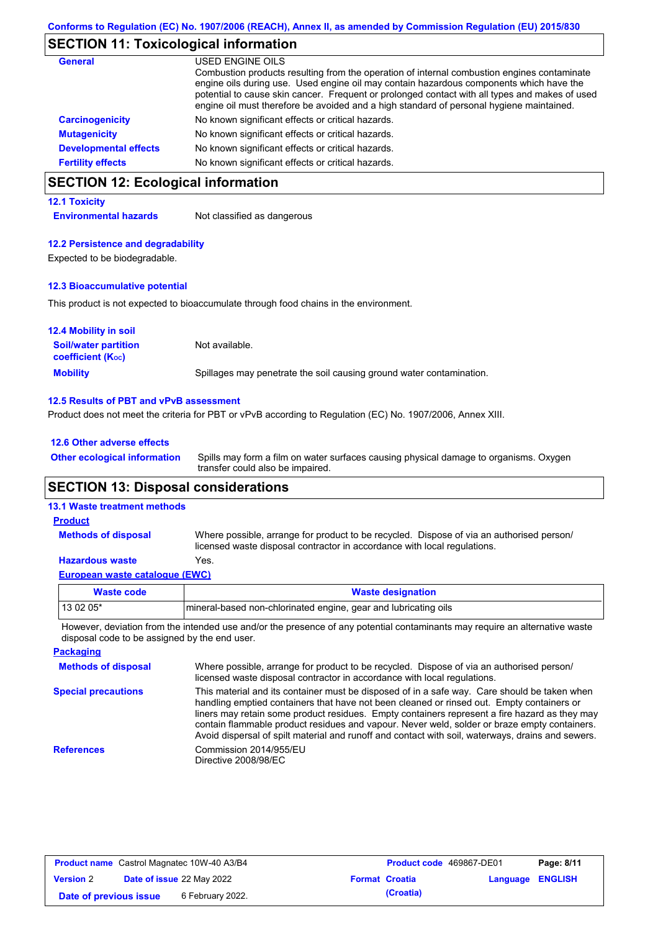# **SECTION 11: Toxicological information**

| <b>General</b>               | USED ENGINE OILS                                                                                                                                                                                                                                                                                                                                                                     |
|------------------------------|--------------------------------------------------------------------------------------------------------------------------------------------------------------------------------------------------------------------------------------------------------------------------------------------------------------------------------------------------------------------------------------|
|                              | Combustion products resulting from the operation of internal combustion engines contaminate<br>engine oils during use. Used engine oil may contain hazardous components which have the<br>potential to cause skin cancer. Frequent or prolonged contact with all types and makes of used<br>engine oil must therefore be avoided and a high standard of personal hygiene maintained. |
| <b>Carcinogenicity</b>       | No known significant effects or critical hazards.                                                                                                                                                                                                                                                                                                                                    |
| <b>Mutagenicity</b>          | No known significant effects or critical hazards.                                                                                                                                                                                                                                                                                                                                    |
| <b>Developmental effects</b> | No known significant effects or critical hazards.                                                                                                                                                                                                                                                                                                                                    |
| <b>Fertility effects</b>     | No known significant effects or critical hazards.                                                                                                                                                                                                                                                                                                                                    |

# **SECTION 12: Ecological information**

### **12.1 Toxicity**

**Environmental hazards** Not classified as dangerous

### **12.2 Persistence and degradability**

Expected to be biodegradable.

### **12.3 Bioaccumulative potential**

This product is not expected to bioaccumulate through food chains in the environment.

| <b>12.4 Mobility in soil</b>                                  |                                                                      |
|---------------------------------------------------------------|----------------------------------------------------------------------|
| <b>Soil/water partition</b><br>coefficient (K <sub>oc</sub> ) | Not available.                                                       |
| <b>Mobility</b>                                               | Spillages may penetrate the soil causing ground water contamination. |

### **12.5 Results of PBT and vPvB assessment**

Product does not meet the criteria for PBT or vPvB according to Regulation (EC) No. 1907/2006, Annex XIII.

### **12.6 Other adverse effects**

Spills may form a film on water surfaces causing physical damage to organisms. Oxygen transfer could also be impaired. **Other ecological information**

## **SECTION 13: Disposal considerations**

### **13.1 Waste treatment methods**

**Methods of disposal**

### **Product**

Where possible, arrange for product to be recycled. Dispose of via an authorised person/ licensed waste disposal contractor in accordance with local regulations.

### **Hazardous waste** Yes.

|  | European waste catalogue (EWC) |  |  |
|--|--------------------------------|--|--|
|  |                                |  |  |
|  |                                |  |  |

| Waste code | <b>Waste designation</b>                                        |
|------------|-----------------------------------------------------------------|
| $130205*$  | mineral-based non-chlorinated engine, gear and lubricating oils |
|            |                                                                 |

However, deviation from the intended use and/or the presence of any potential contaminants may require an alternative waste disposal code to be assigned by the end user.

| <b>Packaging</b>           |                                                                                                                                                                                                                                                                                                                                                                                                                                                                                                 |
|----------------------------|-------------------------------------------------------------------------------------------------------------------------------------------------------------------------------------------------------------------------------------------------------------------------------------------------------------------------------------------------------------------------------------------------------------------------------------------------------------------------------------------------|
| <b>Methods of disposal</b> | Where possible, arrange for product to be recycled. Dispose of via an authorised person/<br>licensed waste disposal contractor in accordance with local regulations.                                                                                                                                                                                                                                                                                                                            |
| <b>Special precautions</b> | This material and its container must be disposed of in a safe way. Care should be taken when<br>handling emptied containers that have not been cleaned or rinsed out. Empty containers or<br>liners may retain some product residues. Empty containers represent a fire hazard as they may<br>contain flammable product residues and vapour. Never weld, solder or braze empty containers.<br>Avoid dispersal of spilt material and runoff and contact with soil, waterways, drains and sewers. |
| <b>References</b>          | Commission 2014/955/EU<br>Directive 2008/98/EC                                                                                                                                                                                                                                                                                                                                                                                                                                                  |

| <b>Product name</b> Castrol Magnatec 10W-40 A3/B4 |  |                                  | <b>Product code</b> 469867-DE01 |                       | Page: 8/11              |  |
|---------------------------------------------------|--|----------------------------------|---------------------------------|-----------------------|-------------------------|--|
| <b>Version 2</b>                                  |  | <b>Date of issue 22 May 2022</b> |                                 | <b>Format Croatia</b> | <b>Language ENGLISH</b> |  |
| Date of previous issue                            |  | 6 February 2022.                 |                                 | (Croatia)             |                         |  |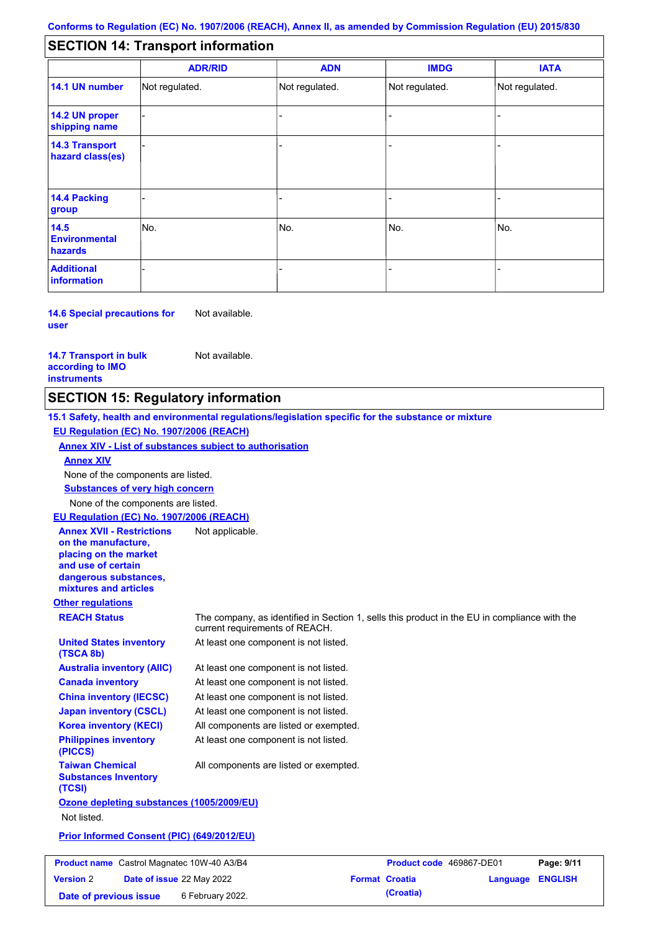### - - - - - - - - - Not regulated. Not regulated. Not regulated. - - - **SECTION 14: Transport information ADR/RID IMDG IATA 14.1 UN number 14.2 UN proper shipping name 14.3 Transport hazard class(es) 14.4 Packing group ADN Additional information 14.5 Environmental hazards** No. 1980 | No. 1980 | No. 1980 | No. 1980 | No. 1980 | No. 1980 | No. 1980 | No. 1980 | No. 1980 | No. 1980 | Not regulated. - -<br>No. - -

**14.6 Special precautions for user** Not available.

### **14.7 Transport in bulk according to IMO instruments**

Not available.

## **SECTION 15: Regulatory information**

**Other regulations REACH Status** The company, as identified in Section 1, sells this product in the EU in compliance with the current requirements of REACH. **15.1 Safety, health and environmental regulations/legislation specific for the substance or mixture EU Regulation (EC) No. 1907/2006 (REACH) Annex XIV - List of substances subject to authorisation Substances of very high concern** None of the components are listed. At least one component is not listed. At least one component is not listed. At least one component is not listed. At least one component is not listed. At least one component is not listed. All components are listed or exempted. At least one component is not listed. **United States inventory (TSCA 8b) Australia inventory (AIIC) Canada inventory China inventory (IECSC) Japan inventory (CSCL) Korea inventory (KECI) Philippines inventory (PICCS) Taiwan Chemical Substances Inventory (TCSI)** All components are listed or exempted. **Ozone depleting substances (1005/2009/EU)** Not listed. **Prior Informed Consent (PIC) (649/2012/EU)** None of the components are listed. **Annex XIV EU Regulation (EC) No. 1907/2006 (REACH) Annex XVII - Restrictions on the manufacture, placing on the market and use of certain dangerous substances, mixtures and articles** Not applicable. **Product name** Castrol Magnatec 10W-40 A3/B4 **Product code 469867-DE01 Page: 9/11 Version** 2

**Date of issue** 22 May 2022 **Format Croatia Language ENGLISH Date of previous issue** 6 February 2022.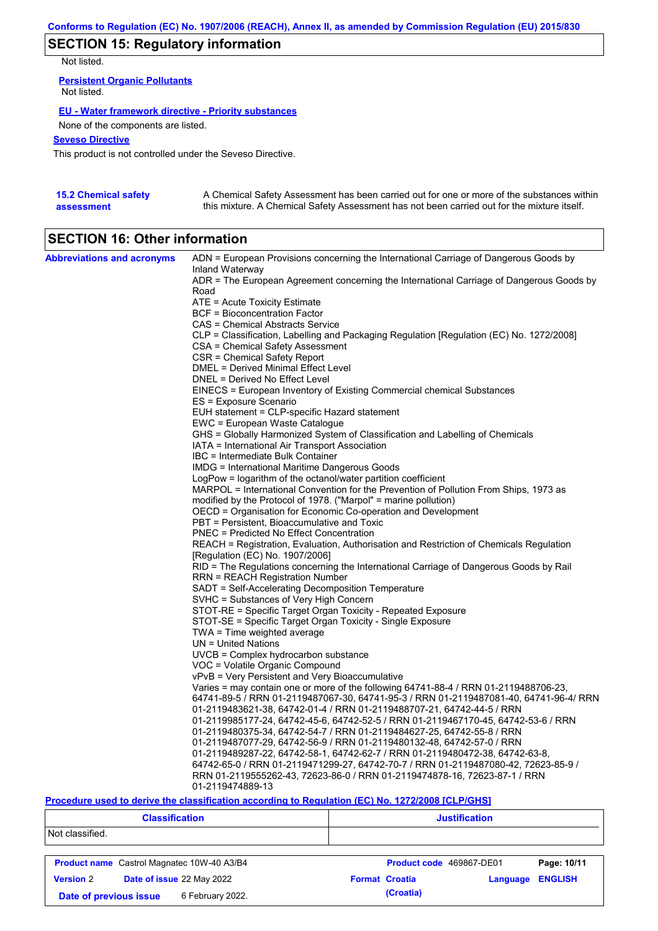# **SECTION 15: Regulatory information**

Not listed.

**Persistent Organic Pollutants** Not listed.

### **EU - Water framework directive - Priority substances**

None of the components are listed.

### **Seveso Directive**

This product is not controlled under the Seveso Directive.

| <b>15.2 Chemical safety</b> | A Chemical Safety Assessment has been carried out for one or more of the substances within  |
|-----------------------------|---------------------------------------------------------------------------------------------|
| assessment                  | this mixture. A Chemical Safety Assessment has not been carried out for the mixture itself. |

# **SECTION 16: Other information**

| <b>Abbreviations and acronyms</b> | ADN = European Provisions concerning the International Carriage of Dangerous Goods by                                     |
|-----------------------------------|---------------------------------------------------------------------------------------------------------------------------|
|                                   | Inland Waterway                                                                                                           |
|                                   | ADR = The European Agreement concerning the International Carriage of Dangerous Goods by<br>Road                          |
|                                   | ATE = Acute Toxicity Estimate                                                                                             |
|                                   | BCF = Bioconcentration Factor                                                                                             |
|                                   | CAS = Chemical Abstracts Service                                                                                          |
|                                   | CLP = Classification, Labelling and Packaging Regulation [Regulation (EC) No. 1272/2008]                                  |
|                                   | CSA = Chemical Safety Assessment                                                                                          |
|                                   | CSR = Chemical Safety Report                                                                                              |
|                                   | DMEL = Derived Minimal Effect Level                                                                                       |
|                                   | DNEL = Derived No Effect Level                                                                                            |
|                                   | EINECS = European Inventory of Existing Commercial chemical Substances                                                    |
|                                   | ES = Exposure Scenario                                                                                                    |
|                                   | EUH statement = CLP-specific Hazard statement                                                                             |
|                                   | EWC = European Waste Catalogue                                                                                            |
|                                   | GHS = Globally Harmonized System of Classification and Labelling of Chemicals                                             |
|                                   | IATA = International Air Transport Association                                                                            |
|                                   | IBC = Intermediate Bulk Container                                                                                         |
|                                   | <b>IMDG</b> = International Maritime Dangerous Goods                                                                      |
|                                   | LogPow = logarithm of the octanol/water partition coefficient                                                             |
|                                   | MARPOL = International Convention for the Prevention of Pollution From Ships, 1973 as                                     |
|                                   | modified by the Protocol of 1978. ("Marpol" = marine pollution)                                                           |
|                                   | OECD = Organisation for Economic Co-operation and Development                                                             |
|                                   | PBT = Persistent, Bioaccumulative and Toxic                                                                               |
|                                   | <b>PNEC</b> = Predicted No Effect Concentration                                                                           |
|                                   | REACH = Registration, Evaluation, Authorisation and Restriction of Chemicals Regulation                                   |
|                                   | [Regulation (EC) No. 1907/2006]                                                                                           |
|                                   | RID = The Regulations concerning the International Carriage of Dangerous Goods by Rail<br>RRN = REACH Registration Number |
|                                   | SADT = Self-Accelerating Decomposition Temperature                                                                        |
|                                   | SVHC = Substances of Very High Concern                                                                                    |
|                                   | STOT-RE = Specific Target Organ Toxicity - Repeated Exposure                                                              |
|                                   | STOT-SE = Specific Target Organ Toxicity - Single Exposure                                                                |
|                                   | $TWA = Time$ weighted average                                                                                             |
|                                   | $UN = United Nations$                                                                                                     |
|                                   | UVCB = Complex hydrocarbon substance                                                                                      |
|                                   | VOC = Volatile Organic Compound                                                                                           |
|                                   | vPvB = Very Persistent and Very Bioaccumulative                                                                           |
|                                   | Varies = may contain one or more of the following 64741-88-4 / RRN 01-2119488706-23,                                      |
|                                   | 64741-89-5 / RRN 01-2119487067-30, 64741-95-3 / RRN 01-2119487081-40, 64741-96-4/ RRN                                     |
|                                   | 01-2119483621-38, 64742-01-4 / RRN 01-2119488707-21, 64742-44-5 / RRN                                                     |
|                                   | 01-2119985177-24, 64742-45-6, 64742-52-5 / RRN 01-2119467170-45, 64742-53-6 / RRN                                         |
|                                   | 01-2119480375-34, 64742-54-7 / RRN 01-2119484627-25, 64742-55-8 / RRN                                                     |
|                                   | 01-2119487077-29, 64742-56-9 / RRN 01-2119480132-48, 64742-57-0 / RRN                                                     |
|                                   | 01-2119489287-22, 64742-58-1, 64742-62-7 / RRN 01-2119480472-38, 64742-63-8,                                              |
|                                   | 64742-65-0 / RRN 01-2119471299-27, 64742-70-7 / RRN 01-2119487080-42, 72623-85-9 /                                        |
|                                   | RRN 01-2119555262-43, 72623-86-0 / RRN 01-2119474878-16, 72623-87-1 / RRN                                                 |
|                                   | 01-2119474889-13                                                                                                          |

### **Procedure used to derive the classification according to Regulation (EC) No. 1272/2008 [CLP/GHS]**

| <b>Classification</b>                         |                        |                                                   | <b>Justification</b>  |  |                          |                |             |
|-----------------------------------------------|------------------------|---------------------------------------------------|-----------------------|--|--------------------------|----------------|-------------|
| Not classified.                               |                        |                                                   |                       |  |                          |                |             |
|                                               |                        | <b>Product name</b> Castrol Magnatec 10W-40 A3/B4 |                       |  | Product code 469867-DE01 |                | Page: 10/11 |
| Date of issue 22 May 2022<br><b>Version 2</b> |                        |                                                   | <b>Format Croatia</b> |  | Language                 | <b>ENGLISH</b> |             |
|                                               | Date of previous issue | 6 February 2022.                                  |                       |  | (Croatia)                |                |             |